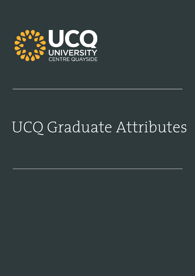

## UCQ Graduate Attributes